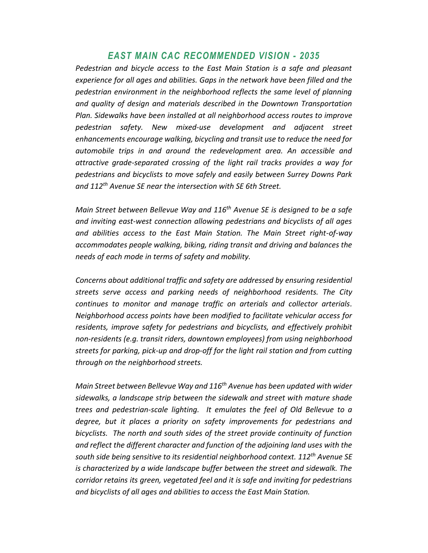## *EAST MAIN CAC RECOMMENDED VISION - 2035*

*Pedestrian and bicycle access to the East Main Station is a safe and pleasant experience for all ages and abilities. Gaps in the network have been filled and the pedestrian environment in the neighborhood reflects the same level of planning and quality of design and materials described in the Downtown Transportation Plan. Sidewalks have been installed at all neighborhood access routes to improve pedestrian safety. New mixed-use development and adjacent street enhancements encourage walking, bicycling and transit use to reduce the need for automobile trips in and around the redevelopment area. An accessible and attractive grade-separated crossing of the light rail tracks provides a way for pedestrians and bicyclists to move safely and easily between Surrey Downs Park and 112th Avenue SE near the intersection with SE 6th Street.*

*Main Street between Bellevue Way and 116th Avenue SE is designed to be a safe and inviting east-west connection allowing pedestrians and bicyclists of all ages and abilities access to the East Main Station. The Main Street right-of-way accommodates people walking, biking, riding transit and driving and balances the needs of each mode in terms of safety and mobility.*

*Concerns about additional traffic and safety are addressed by ensuring residential streets serve access and parking needs of neighborhood residents. The City continues to monitor and manage traffic on arterials and collector arterials. Neighborhood access points have been modified to facilitate vehicular access for residents, improve safety for pedestrians and bicyclists, and effectively prohibit non-residents (e.g. transit riders, downtown employees) from using neighborhood streets for parking, pick-up and drop-off for the light rail station and from cutting through on the neighborhood streets.*

*Main Street between Bellevue Way and 116th Avenue has been updated with wider sidewalks, a landscape strip between the sidewalk and street with mature shade trees and pedestrian-scale lighting. It emulates the feel of Old Bellevue to a degree, but it places a priority on safety improvements for pedestrians and bicyclists. The north and south sides of the street provide continuity of function and reflect the different character and function of the adjoining land uses with the south side being sensitive to its residential neighborhood context. 112th Avenue SE*  is characterized by a wide landscape buffer between the street and sidewalk. The *corridor retains its green, vegetated feel and it is safe and inviting for pedestrians and bicyclists of all ages and abilities to access the East Main Station.*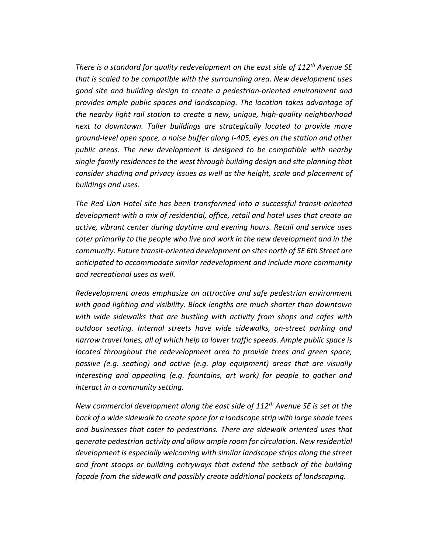*There is a standard for quality redevelopment on the east side of 112th Avenue SE that is scaled to be compatible with the surrounding area. New development uses good site and building design to create a pedestrian-oriented environment and provides ample public spaces and landscaping. The location takes advantage of the nearby light rail station to create a new, unique, high-quality neighborhood next to downtown. Taller buildings are strategically located to provide more ground-level open space, a noise buffer along I-405, eyes on the station and other public areas. The new development is designed to be compatible with nearby single-family residences to the west through building design and site planning that consider shading and privacy issues as well as the height, scale and placement of buildings and uses.*

*The Red Lion Hotel site has been transformed into a successful transit-oriented development with a mix of residential, office, retail and hotel uses that create an active, vibrant center during daytime and evening hours. Retail and service uses cater primarily to the people who live and work in the new development and in the community. Future transit-oriented development on sites north of SE 6th Street are anticipated to accommodate similar redevelopment and include more community and recreational uses as well.* 

*Redevelopment areas emphasize an attractive and safe pedestrian environment with good lighting and visibility. Block lengths are much shorter than downtown with wide sidewalks that are bustling with activity from shops and cafes with outdoor seating. Internal streets have wide sidewalks, on-street parking and narrow travel lanes, all of which help to lower traffic speeds. Ample public space is located throughout the redevelopment area to provide trees and green space, passive (e.g. seating) and active (e.g. play equipment) areas that are visually interesting and appealing (e.g. fountains, art work) for people to gather and interact in a community setting.*

*New commercial development along the east side of 112th Avenue SE is set at the back of a wide sidewalk to create space for a landscape strip with large shade trees and businesses that cater to pedestrians. There are sidewalk oriented uses that generate pedestrian activity and allow ample room for circulation. New residential development is especially welcoming with similar landscape strips along the street and front stoops or building entryways that extend the setback of the building façade from the sidewalk and possibly create additional pockets of landscaping.*